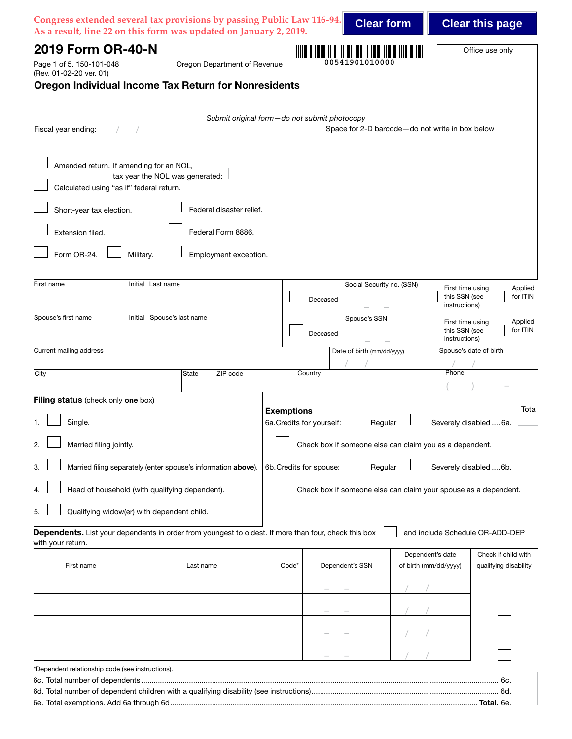|                                                                                                                                                    | Congress extended several tax provisions by passing Public Law 116-94.<br>As a result, line 22 on this form was updated on January 2, 2019. |                   |                                                      | <b>Clear form</b>                                |                                                                 |                                                    | <b>Clear this page</b>                                    |
|----------------------------------------------------------------------------------------------------------------------------------------------------|---------------------------------------------------------------------------------------------------------------------------------------------|-------------------|------------------------------------------------------|--------------------------------------------------|-----------------------------------------------------------------|----------------------------------------------------|-----------------------------------------------------------|
| 2019 Form OR-40-N<br>Page 1 of 5, 150-101-048<br>(Rev. 01-02-20 ver. 01)                                                                           | Oregon Department of Revenue<br><b>Oregon Individual Income Tax Return for Nonresidents</b>                                                 |                   |                                                      | <u> AI II AI II AI II AI II A</u><br>41901010000 |                                                                 |                                                    | Office use only                                           |
|                                                                                                                                                    |                                                                                                                                             |                   |                                                      |                                                  |                                                                 |                                                    |                                                           |
| Fiscal year ending:                                                                                                                                | Submit original form-do not submit photocopy                                                                                                |                   |                                                      |                                                  | Space for 2-D barcode-do not write in box below                 |                                                    |                                                           |
| Amended return. If amending for an NOL,<br>Calculated using "as if" federal return.<br>Short-year tax election.<br>Extension filed.<br>Form OR-24. | tax year the NOL was generated:<br>Federal disaster relief.<br>Federal Form 8886.<br>Military.<br>Employment exception.                     |                   |                                                      |                                                  |                                                                 |                                                    |                                                           |
| First name<br>Spouse's first name                                                                                                                  | Initial Last name<br>Spouse's last name<br>Initial                                                                                          |                   | Deceased                                             | Social Security no. (SSN)<br>Spouse's SSN        |                                                                 | First time using<br>this SSN (see<br>instructions) | Applied<br>for ITIN                                       |
|                                                                                                                                                    |                                                                                                                                             |                   | Deceased                                             |                                                  |                                                                 | First time using<br>this SSN (see<br>instructions) | Applied<br>for ITIN                                       |
| Current mailing address                                                                                                                            |                                                                                                                                             |                   |                                                      | Date of birth (mm/dd/yyyy)                       |                                                                 | Spouse's date of birth                             |                                                           |
| City                                                                                                                                               | <b>State</b><br>ZIP code                                                                                                                    |                   | Country                                              |                                                  |                                                                 | Phone                                              |                                                           |
| Filing status (check only one box)<br>Single.<br>1.<br>2.<br>Married filing jointly.<br>3.                                                         | Married filing separately (enter spouse's information above).                                                                               | <b>Exemptions</b> | 6a. Credits for yourself:<br>6b. Credits for spouse: | Regular<br>Regular                               | Check box if someone else can claim you as a dependent.         |                                                    | Total<br>Severely disabled  6a.<br>Severely disabled  6b. |
| 4.                                                                                                                                                 | Head of household (with qualifying dependent).                                                                                              |                   |                                                      |                                                  | Check box if someone else can claim your spouse as a dependent. |                                                    |                                                           |
| 5.                                                                                                                                                 | Qualifying widow(er) with dependent child.                                                                                                  |                   |                                                      |                                                  |                                                                 |                                                    |                                                           |
| with your return.                                                                                                                                  | Dependents. List your dependents in order from youngest to oldest. If more than four, check this box                                        |                   |                                                      |                                                  |                                                                 |                                                    | and include Schedule OR-ADD-DEP                           |
| First name                                                                                                                                         | Last name                                                                                                                                   | Code*             |                                                      | Dependent's SSN                                  | Dependent's date<br>of birth (mm/dd/yyyy)                       |                                                    | Check if child with<br>qualifying disability              |
|                                                                                                                                                    |                                                                                                                                             |                   |                                                      |                                                  |                                                                 |                                                    |                                                           |
|                                                                                                                                                    |                                                                                                                                             |                   |                                                      |                                                  |                                                                 |                                                    |                                                           |
|                                                                                                                                                    |                                                                                                                                             |                   |                                                      |                                                  |                                                                 |                                                    |                                                           |
|                                                                                                                                                    |                                                                                                                                             |                   |                                                      |                                                  |                                                                 |                                                    |                                                           |
| *Dependent relationship code (see instructions).                                                                                                   |                                                                                                                                             |                   |                                                      |                                                  |                                                                 |                                                    |                                                           |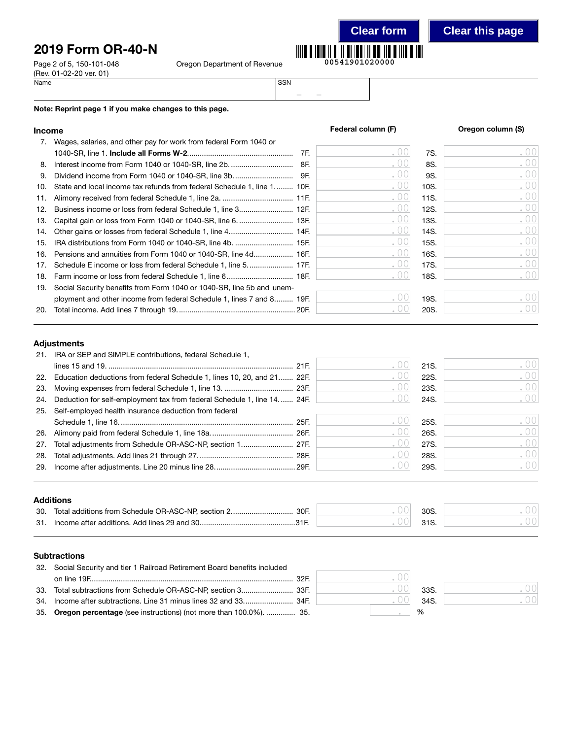# 2019 Form OR-40-N

Page 2 of 5, 150-101-048 O (Rev. 01-02-20 ver. 01)<br>Name Name SSN

|  | regon Department of Revenue |  |
|--|-----------------------------|--|
|--|-----------------------------|--|



### **Clear form Clear this page**

Note: Reprint page 1 if you make changes to this page.

| Income |                                                                         | Federal column (F) |     | Oregon column (S) |      |
|--------|-------------------------------------------------------------------------|--------------------|-----|-------------------|------|
| 7.     | Wages, salaries, and other pay for work from federal Form 1040 or       |                    |     |                   |      |
|        |                                                                         | 7F.                | .00 | 7S.               | .00  |
| 8.     |                                                                         | 8F.                | .00 | 8S.               | .00  |
| 9.     | Dividend income from Form 1040 or 1040-SR, line 3b                      | 9F.                | .00 | 9S.               | .00  |
| 10.    | State and local income tax refunds from federal Schedule 1, line 1 10F. |                    | .00 | 10S.              | .00  |
| 11.    |                                                                         |                    | .00 | 11S.              | .00  |
| 12.    |                                                                         |                    | .00 | 12S.              | .00  |
| 13.    |                                                                         |                    | .00 | 13S.              | .00  |
| 14.    |                                                                         |                    | .00 | 14S.              | .00  |
| 15.    |                                                                         |                    | .00 | 15S.              | .00  |
| 16.    | Pensions and annuities from Form 1040 or 1040-SR, line 4d 16F.          |                    | .00 | 16S.              | .00  |
| 17.    | Schedule E income or loss from federal Schedule 1, line 5 17F.          |                    | .00 | 17S.              | .00  |
| 18.    |                                                                         |                    | .00 | 18S.              | .00  |
| 19.    | Social Security benefits from Form 1040 or 1040-SR, line 5b and unem-   |                    |     |                   |      |
|        | ployment and other income from federal Schedule 1, lines 7 and 8 19F.   |                    |     | 19S.              | .00  |
| 20.    |                                                                         |                    |     | 20S.              | . 00 |

– –

### Adjustments

|     | 21. IRA or SEP and SIMPLE contributions, federal Schedule 1,                |      |      |                   |
|-----|-----------------------------------------------------------------------------|------|------|-------------------|
|     |                                                                             |      | 21S. | - 00'             |
|     | 22. Education deductions from federal Schedule 1, lines 10, 20, and 21 22F. |      | 22S. |                   |
| 23. |                                                                             | . UU | 23S. |                   |
| 24. | Deduction for self-employment tax from federal Schedule 1, line 14.  24F.   |      | 24S. | .001              |
|     | 25. Self-employed health insurance deduction from federal                   |      |      |                   |
|     |                                                                             |      | 25S. |                   |
|     |                                                                             | . UU | 26S. | $.00^{\circ}$     |
| 27. | Total adjustments from Schedule OR-ASC-NP, section 1 27F.                   |      | 27S. | .00 <sup>1</sup>  |
| 28. |                                                                             |      | 28S. | $\sim 00^{\circ}$ |
|     |                                                                             |      | 29S. |                   |
|     |                                                                             |      |      |                   |

### Additions

| 30. | Total additions from Schedule OR-ASC-NP, section 2<br>30F | 30 <sub>S</sub> |  |
|-----|-----------------------------------------------------------|-----------------|--|
| 31. | . Income after additions. Add lines 29 and 30.            |                 |  |

### **Subtractions**

| 32. Social Security and tier 1 Railroad Retirement Board benefits included |                                                     |      |
|----------------------------------------------------------------------------|-----------------------------------------------------|------|
|                                                                            | $\left( \begin{array}{c} \cdot \end{array} \right)$ |      |
|                                                                            | ( ) ( )                                             | 33S. |
|                                                                            |                                                     | 34S  |
| 35. Oregon percentage (see instructions) (not more than 100.0%).  35.      |                                                     | $\%$ |

| é | 33S. |  |
|---|------|--|
|   | 34S. |  |
|   | ℅    |  |

. 00 . 00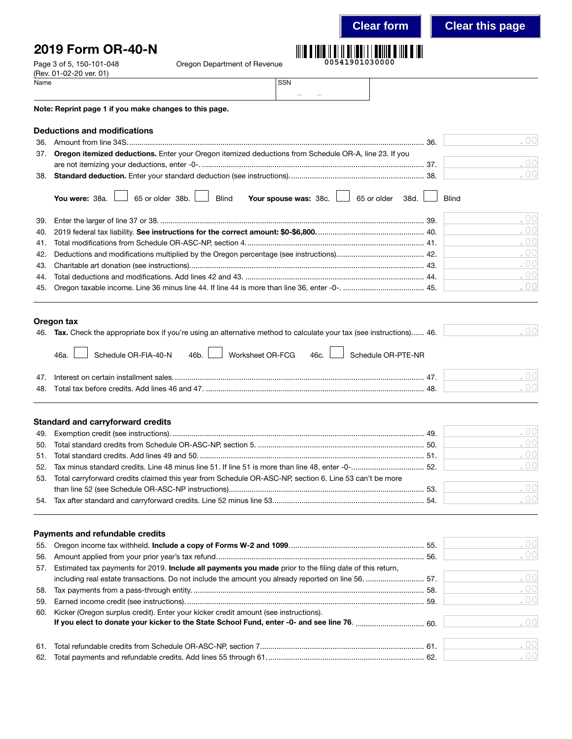### **Clear form Clear this page**

. 00

## 2019 Form OR-40-N



|      | Page 3 of 5, 150-101-048<br>Oregon Department of Revenue                                                              |              |        |
|------|-----------------------------------------------------------------------------------------------------------------------|--------------|--------|
| Name | (Rev. 01-02-20 ver. 01)<br><b>SSN</b>                                                                                 |              |        |
|      |                                                                                                                       |              |        |
|      | Note: Reprint page 1 if you make changes to this page.                                                                |              |        |
|      |                                                                                                                       |              |        |
|      | <b>Deductions and modifications</b>                                                                                   |              |        |
| 36.  |                                                                                                                       |              | .00    |
| 37.  | Oregon itemized deductions. Enter your Oregon itemized deductions from Schedule OR-A, line 23. If you                 |              |        |
|      |                                                                                                                       |              | .00    |
| 38.  |                                                                                                                       |              | 00     |
|      | 65 or older $38b.$<br><b>Blind</b><br>Your spouse was: 38c.<br>65 or older<br>38d.<br>You were: 38a.                  | <b>Blind</b> |        |
| 39.  |                                                                                                                       |              | .00    |
| 40.  |                                                                                                                       |              | .00    |
| 41.  |                                                                                                                       |              | .00    |
| 42.  |                                                                                                                       |              | . $00$ |
| 43.  |                                                                                                                       |              | .00    |
| 44.  |                                                                                                                       |              | .00    |
| 45.  |                                                                                                                       |              | .001   |
|      | Oregon tax                                                                                                            |              |        |
|      | 46. Tax. Check the appropriate box if you're using an alternative method to calculate your tax (see instructions) 46. |              | 00     |
|      | Worksheet OR-FCG<br>Schedule OR-PTE-NR<br>Schedule OR-FIA-40-N<br>46b.<br>46c.<br>46a.                                |              |        |
|      |                                                                                                                       |              | .001   |
| 48.  |                                                                                                                       |              | 00     |
|      | <b>Standard and carryforward credits</b>                                                                              |              |        |
| 49.  |                                                                                                                       |              | .00    |
| 50.  |                                                                                                                       |              | . 00   |
| 51.  |                                                                                                                       |              | .00    |
| 52.  |                                                                                                                       |              | 00     |
| 53.  | Total carryforward credits claimed this year from Schedule OR-ASC-NP, section 6. Line 53 can't be more                |              |        |
|      |                                                                                                                       |              | .00    |
|      |                                                                                                                       |              | . $00$ |

#### Payments and refundable credits

|     |                                                                                                             | .001  |
|-----|-------------------------------------------------------------------------------------------------------------|-------|
|     | 57. Estimated tax payments for 2019. Include all payments you made prior to the filing date of this return, |       |
|     | including real estate transactions. Do not include the amount you already reported on line 56.  57.         | .00   |
|     |                                                                                                             | .001  |
| 59. |                                                                                                             | .001  |
|     | 60. Kicker (Oregon surplus credit). Enter your kicker credit amount (see instructions).                     |       |
|     | If you elect to donate your kicker to the State School Fund, enter -0- and see line 76.  60.                | .001  |
|     |                                                                                                             |       |
|     |                                                                                                             | . 001 |
| 62. |                                                                                                             | .001  |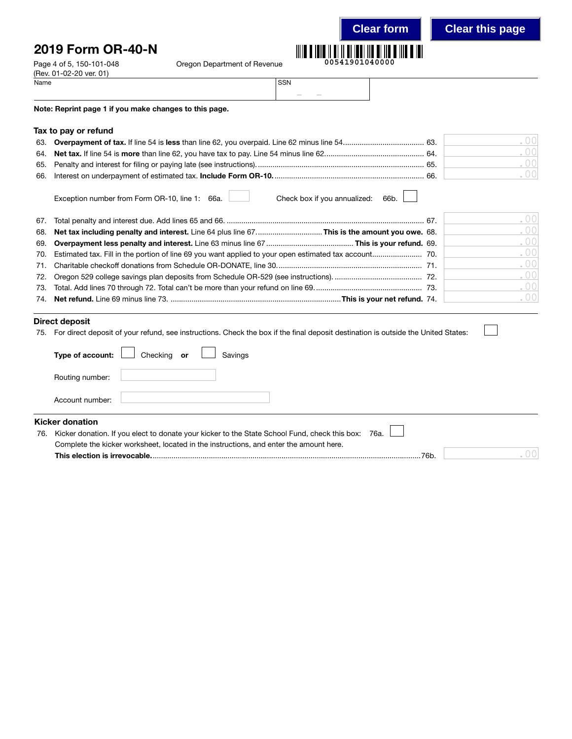# 2019 Form OR-40-N

artment of Revenue



**Clear form Clear this page**

. 00

| Page 4 of 5, 150-101-048 | Oregon Department of Revenue |
|--------------------------|------------------------------|
| (Rev. 01-02-20 ver. 01)  |                              |
| Name                     | SSN                          |

| CCNI<br>--- |
|-------------|

Note: Reprint page 1 if you make changes to this page.

### Tax to pay or refund

|                                                                                       | UU   |
|---------------------------------------------------------------------------------------|------|
|                                                                                       | .00  |
|                                                                                       | .00  |
|                                                                                       | .001 |
| Check box if you annualized: $66b.$<br>Exception number from Form OR-10, line 1: 66a. |      |

|  | . UUI                                                                                                                                                                               |
|--|-------------------------------------------------------------------------------------------------------------------------------------------------------------------------------------|
|  | .00                                                                                                                                                                                 |
|  | .001                                                                                                                                                                                |
|  | .00                                                                                                                                                                                 |
|  | .00                                                                                                                                                                                 |
|  | .00                                                                                                                                                                                 |
|  | .001                                                                                                                                                                                |
|  | .00<br>$\mathcal{L}^{\mathcal{L}}(\mathcal{L}^{\mathcal{L}})$ and $\mathcal{L}^{\mathcal{L}}(\mathcal{L}^{\mathcal{L}})$ and $\mathcal{L}^{\mathcal{L}}(\mathcal{L}^{\mathcal{L}})$ |

### Direct deposit

|                        | 75. For direct deposit of your refund, see instructions. Check the box if the final deposit destination is outside the United States: |  |  |  |  |  |  |  |
|------------------------|---------------------------------------------------------------------------------------------------------------------------------------|--|--|--|--|--|--|--|
|                        | Checking or<br>Type of account:<br>Savings                                                                                            |  |  |  |  |  |  |  |
|                        | Routing number:                                                                                                                       |  |  |  |  |  |  |  |
|                        | Account number:                                                                                                                       |  |  |  |  |  |  |  |
| <b>Kicker donation</b> |                                                                                                                                       |  |  |  |  |  |  |  |
|                        | 76. Kicker donation. If you elect to donate your kicker to the State School Fund, check this box: 76a.                                |  |  |  |  |  |  |  |

Complete the kicker worksheet, located in the instructions, and enter the amount here. This election is irrevocable..................................................................................................................................76b.